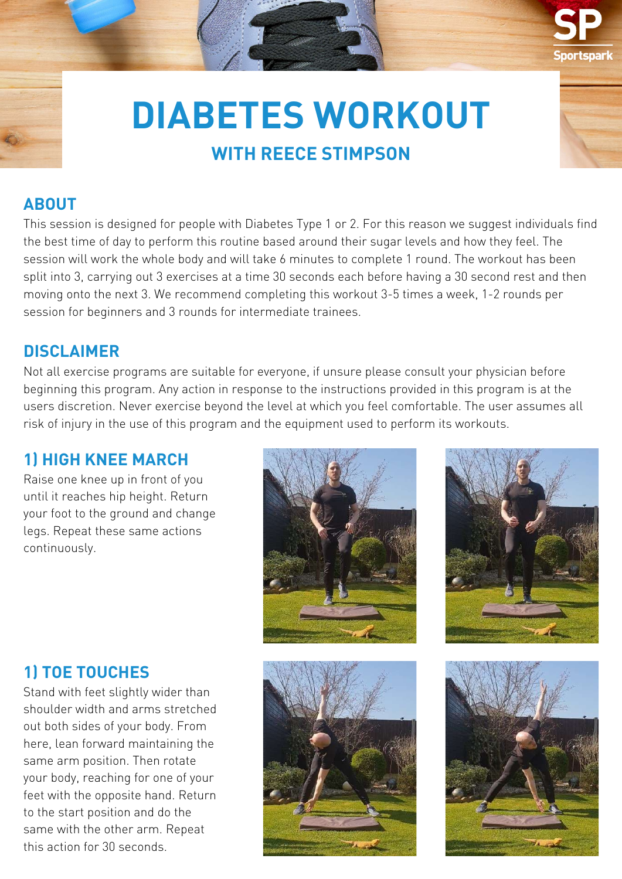### **ABOUT**

This session is designed for people with Diabetes Type 1 or 2. For this reason we suggest individuals find the best time of day to perform this routine based around their sugar levels and how they feel. The session will work the whole body and will take 6 minutes to complete 1 round. The workout has been split into 3, carrying out 3 exercises at a time 30 seconds each before having a 30 second rest and then moving onto the next 3. We recommend completing this workout 3-5 times a week, 1-2 rounds per session for beginners and 3 rounds for intermediate trainees.

#### **1) HIGH KNEE MARCH**





Raise one knee up in front of you until it reaches hip height. Return your foot to the ground and change legs. Repeat these same actions continuously.



#### **DISCLAIMER**

Not all exercise programs are suitable for everyone, if unsure please consult your physician before beginning this program. Any action in response to the instructions provided in this program is at the users discretion. Never exercise beyond the level at which you feel comfortable. The user assumes all risk of injury in the use of this program and the equipment used to perform its workouts.



# **DIABETES WORKOUT WITH REECE STIMPSON**

## **1) TOE TOUCHES**

Stand with feet slightly wider than shoulder width and arms stretched out both sides of your body. From here, lean forward maintaining the same arm position. Then rotate your body, reaching for one of your feet with the opposite hand. Return to the start position and do the same with the other arm. Repeat this action for 30 seconds.



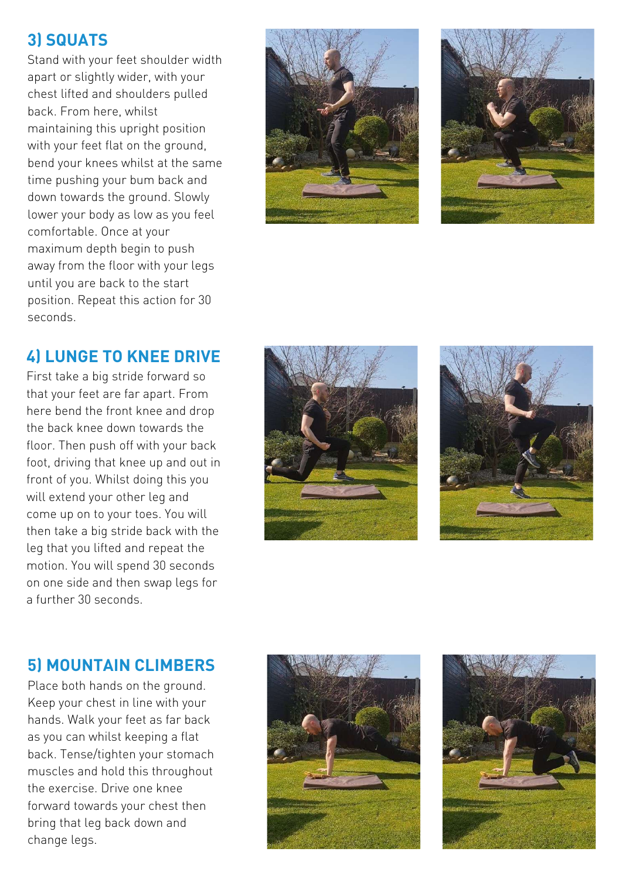## **3) SQUATS**

Stand with your feet shoulder width apart or slightly wider, with your chest lifted and shoulders pulled back. From here, whilst maintaining this upright position with your feet flat on the ground, bend your knees whilst at the same time pushing your bum back and down towards the ground. Slowly lower your body as low as you feel comfortable. Once at your maximum depth begin to push away from the floor with your legs until you are back to the start position. Repeat this action for 30 seconds.





## **4) LUNGE TO KNEE DRIVE**

First take a big stride forward so that your feet are far apart. From here bend the front knee and drop the back knee down towards the floor. Then push off with your back foot, driving that knee up and out in front of you. Whilst doing this you will extend your other leg and come up on to your toes. You will then take a big stride back with the leg that you lifted and repeat the motion. You will spend 30 seconds on one side and then swap legs for a further 30 seconds.





## **5) MOUNTAIN CLIMBERS**

Place both hands on the ground. Keep your chest in line with your hands. Walk your feet as far back as you can whilst keeping a flat back. Tense/tighten your stomach muscles and hold this throughout the exercise. Drive one knee forward towards your chest then bring that leg back down and change legs.